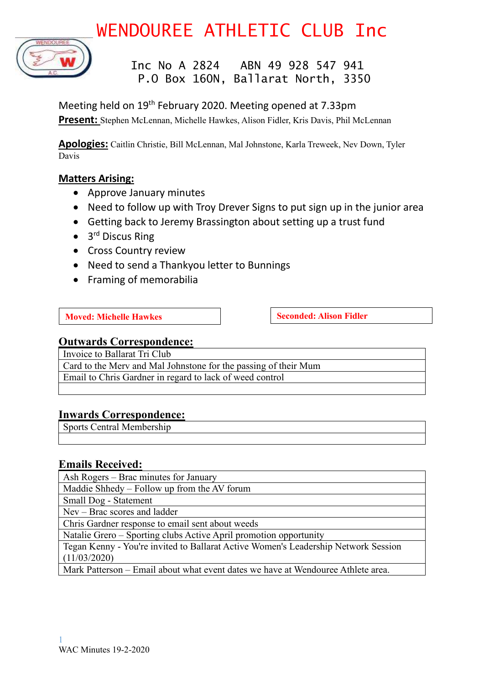# WENDOUREE ATHLETIC CLUB Inc



### Inc No A 2824 ABN 49 928 547 941 P.O Box 160N, Ballarat North, 3350

Meeting held on 19<sup>th</sup> February 2020. Meeting opened at 7.33pm **Present:** Stephen McLennan, Michelle Hawkes, Alison Fidler, Kris Davis, Phil McLennan

**Apologies:** Caitlin Christie, Bill McLennan, Mal Johnstone, Karla Treweek, Nev Down, Tyler Davis

### **Matters Arising:**

- Approve January minutes
- Need to follow up with Troy Drever Signs to put sign up in the junior area
- Getting back to Jeremy Brassington about setting up a trust fund
- 3<sup>rd</sup> Discus Ring
- Cross Country review
- Need to send a Thankyou letter to Bunnings
- Framing of memorabilia

**Moved:** Michelle Hawkes **Seconded:** Alison Fidler

### **Outwards Correspondence:**

Invoice to Ballarat Tri Club

Card to the Merv and Mal Johnstone for the passing of their Mum Email to Chris Gardner in regard to lack of weed control

### **Inwards Correspondence:**

Sports Central Membership

### **Emails Received:**

Ash Rogers – Brac minutes for January

Maddie Shhedy – Follow up from the AV forum

Small Dog - Statement

Nev – Brac scores and ladder

Chris Gardner response to email sent about weeds

Natalie Grero – Sporting clubs Active April promotion opportunity

Tegan Kenny - You're invited to Ballarat Active Women's Leadership Network Session (11/03/2020)

Mark Patterson – Email about what event dates we have at Wendouree Athlete area.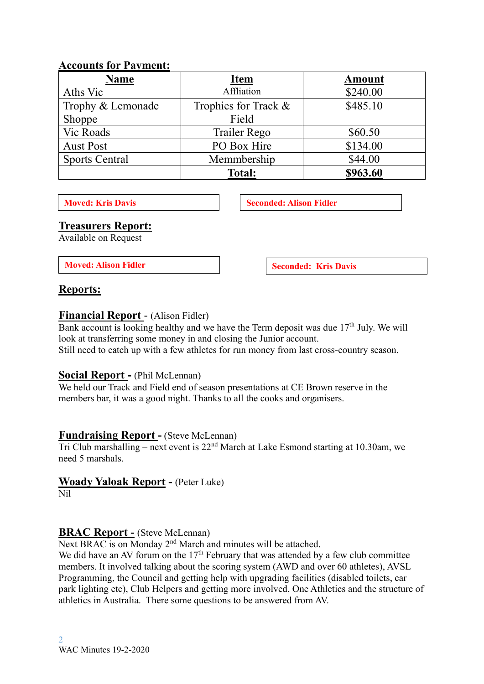### **Accounts for Payment:**

| <b>Name</b>           | <b>Item</b>          | <b>Amount</b> |  |
|-----------------------|----------------------|---------------|--|
| Aths Vic              | Affliation           | \$240.00      |  |
| Trophy & Lemonade     | Trophies for Track & | \$485.10      |  |
| Shoppe                | Field                |               |  |
| Vic Roads             | Trailer Rego         | \$60.50       |  |
| <b>Aust Post</b>      | PO Box Hire          | \$134.00      |  |
| <b>Sports Central</b> | Memmbership          | \$44.00       |  |
|                       | <b>Total:</b>        | \$963.60      |  |

**Moved:** Kris Davis **Seconded:** Alison Fidler

### **Treasurers Report:**

Available on Request

**Moved:** Alison Fidler **Seconded:** Kris Davis

### **Reports:**

### **Financial Report** - (Alison Fidler)

Bank account is looking healthy and we have the Term deposit was due  $17<sup>th</sup>$  July. We will look at transferring some money in and closing the Junior account.

Still need to catch up with a few athletes for run money from last cross-country season.

### **Social Report -** (Phil McLennan)

We held our Track and Field end of season presentations at CE Brown reserve in the members bar, it was a good night. Thanks to all the cooks and organisers.

### **Fundraising Report -** (Steve McLennan)

Tri Club marshalling – next event is 22nd March at Lake Esmond starting at 10.30am, we need 5 marshals.

### **Woady Yaloak Report -** (Peter Luke)

Nil

### **BRAC Report -** (Steve McLennan)

Next BRAC is on Monday 2<sup>nd</sup> March and minutes will be attached.

We did have an AV forum on the  $17<sup>th</sup>$  February that was attended by a few club committee members. It involved talking about the scoring system (AWD and over 60 athletes), AVSL Programming, the Council and getting help with upgrading facilities (disabled toilets, car park lighting etc), Club Helpers and getting more involved, One Athletics and the structure of athletics in Australia. There some questions to be answered from AV.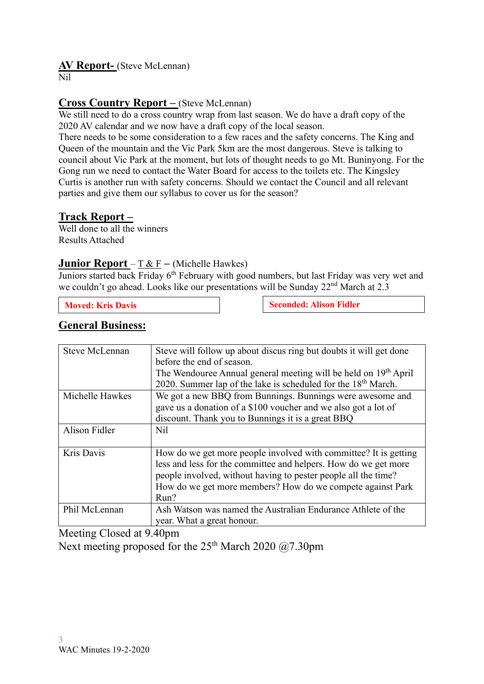### **AV Report-** (Steve McLennan)

Nil

### **Cross Country Report –** (Steve McLennan)

We still need to do a cross country wrap from last season. We do have a draft copy of the 2020 AV calendar and we now have a draft copy of the local season.

There needs to be some consideration to a few races and the safety concerns. The King and Queen of the mountain and the Vic Park 5km are the most dangerous. Steve is talking to council about Vic Park at the moment, but lots of thought needs to go Mt. Buninyong. For the Gong run we need to contact the Water Board for access to the toilets etc. The Kingsley Curtis is another run with safety concerns. Should we contact the Council and all relevant parties and give them our syllabus to cover us for the season?

### **Track Report –**

Well done to all the winners Results Attached

### **Junior Report** – T & F **–** (Michelle Hawkes)

Juniors started back Friday 6<sup>th</sup> February with good numbers, but last Friday was very wet and we couldn't go ahead. Looks like our presentations will be Sunday 22<sup>nd</sup> March at 2.3

**Moved: Kris** Davis **Seconded:** Alison Fidler

### **General Business:**

| Steve McLennan  | Steve will follow up about discus ring but doubts it will get done          |
|-----------------|-----------------------------------------------------------------------------|
|                 | before the end of season.                                                   |
|                 | The Wendouree Annual general meeting will be held on 19 <sup>th</sup> April |
|                 | 2020. Summer lap of the lake is scheduled for the 18 <sup>th</sup> March.   |
| Michelle Hawkes | We got a new BBQ from Bunnings. Bunnings were awesome and                   |
|                 | gave us a donation of a \$100 voucher and we also got a lot of              |
|                 | discount. Thank you to Bunnings it is a great BBQ                           |
| Alison Fidler   | N <sub>i</sub> l                                                            |
|                 |                                                                             |
| Kris Davis      | How do we get more people involved with committee? It is getting            |
|                 | less and less for the committee and helpers. How do we get more             |
|                 | people involved, without having to pester people all the time?              |
|                 | How do we get more members? How do we compete against Park                  |
|                 | Run?                                                                        |
| Phil McLennan   | Ash Watson was named the Australian Endurance Athlete of the                |
|                 | year. What a great honour.                                                  |

Meeting Closed at 9.40pm Next meeting proposed for the  $25<sup>th</sup>$  March 2020 @7.30pm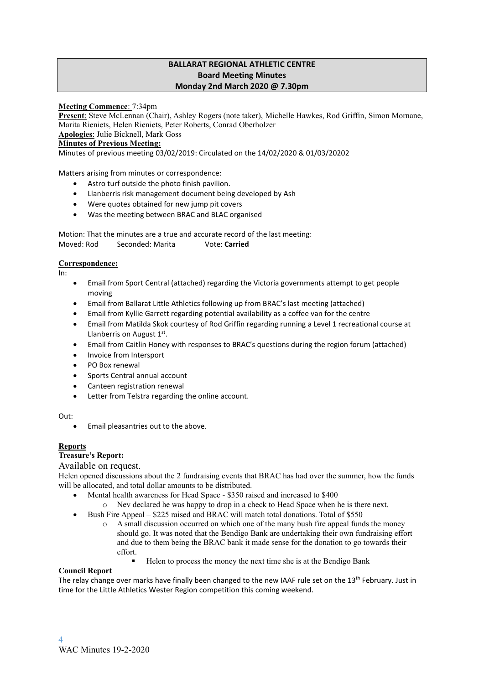#### **BALLARAT REGIONAL ATHLETIC CENTRE Board Meeting Minutes Monday 2nd March 2020 @ 7.30pm**

#### **Meeting Commence**: 7:34pm

**Present**: Steve McLennan (Chair), Ashley Rogers (note taker), Michelle Hawkes, Rod Griffin, Simon Mornane, Marita Rieniets, Helen Rieniets, Peter Roberts, Conrad Oberholzer

**Apologies**: Julie Bicknell, Mark Goss

#### **Minutes of Previous Meeting:**

Minutes of previous meeting 03/02/2019: Circulated on the 14/02/2020 & 01/03/20202

Matters arising from minutes or correspondence:

- Astro turf outside the photo finish pavilion.
- Llanberris risk management document being developed by Ash
- Were quotes obtained for new jump pit covers
- Was the meeting between BRAC and BLAC organised

Motion: That the minutes are a true and accurate record of the last meeting: Moved: Rod Seconded: Marita Vote: **Carried**

#### **Correspondence:**

In:

- Email from Sport Central (attached) regarding the Victoria governments attempt to get people moving
- Email from Ballarat Little Athletics following up from BRAC's last meeting (attached)
- Email from Kyllie Garrett regarding potential availability as a coffee van for the centre
- Email from Matilda Skok courtesy of Rod Griffin regarding running a Level 1 recreational course at Llanberris on August 1st.
- Email from Caitlin Honey with responses to BRAC's questions during the region forum (attached)
- Invoice from Intersport
- PO Box renewal
- Sports Central annual account
- Canteen registration renewal
- Letter from Telstra regarding the online account.

Out:

• Email pleasantries out to the above.

#### **Reports**

#### **Treasure's Report:**

#### Available on request.

Helen opened discussions about the 2 fundraising events that BRAC has had over the summer, how the funds will be allocated, and total dollar amounts to be distributed.

- Mental health awareness for Head Space \$350 raised and increased to \$400
	- o Nev declared he was happy to drop in a check to Head Space when he is there next.
- Bush Fire Appeal \$225 raised and BRAC will match total donations. Total of \$550
	- A small discussion occurred on which one of the many bush fire appeal funds the money should go. It was noted that the Bendigo Bank are undertaking their own fundraising effort and due to them being the BRAC bank it made sense for the donation to go towards their effort.
		- Helen to process the money the next time she is at the Bendigo Bank

#### **Council Report**

The relay change over marks have finally been changed to the new IAAF rule set on the 13<sup>th</sup> February. Just in time for the Little Athletics Wester Region competition this coming weekend.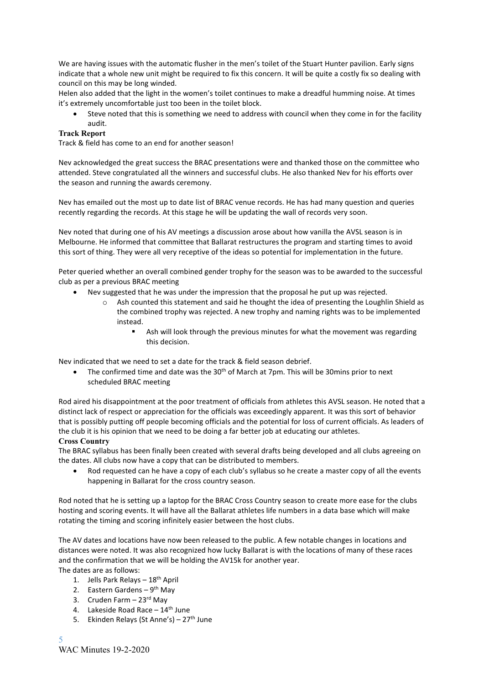We are having issues with the automatic flusher in the men's toilet of the Stuart Hunter pavilion. Early signs indicate that a whole new unit might be required to fix this concern. It will be quite a costly fix so dealing with council on this may be long winded.

Helen also added that the light in the women's toilet continues to make a dreadful humming noise. At times it's extremely uncomfortable just too been in the toilet block.

• Steve noted that this is something we need to address with council when they come in for the facility audit.

#### **Track Report**

Track & field has come to an end for another season!

Nev acknowledged the great success the BRAC presentations were and thanked those on the committee who attended. Steve congratulated all the winners and successful clubs. He also thanked Nev for his efforts over the season and running the awards ceremony.

Nev has emailed out the most up to date list of BRAC venue records. He has had many question and queries recently regarding the records. At this stage he will be updating the wall of records very soon.

Nev noted that during one of his AV meetings a discussion arose about how vanilla the AVSL season is in Melbourne. He informed that committee that Ballarat restructures the program and starting times to avoid this sort of thing. They were all very receptive of the ideas so potential for implementation in the future.

Peter queried whether an overall combined gender trophy for the season was to be awarded to the successful club as per a previous BRAC meeting

- Nev suggested that he was under the impression that the proposal he put up was rejected.
	- o Ash counted this statement and said he thought the idea of presenting the Loughlin Shield as the combined trophy was rejected. A new trophy and naming rights was to be implemented instead.
		- Ash will look through the previous minutes for what the movement was regarding this decision.

Nev indicated that we need to set a date for the track & field season debrief.

The confirmed time and date was the  $30<sup>th</sup>$  of March at 7pm. This will be 30mins prior to next scheduled BRAC meeting

Rod aired his disappointment at the poor treatment of officials from athletes this AVSL season. He noted that a distinct lack of respect or appreciation for the officials was exceedingly apparent. It was this sort of behavior that is possibly putting off people becoming officials and the potential for loss of current officials. As leaders of the club it is his opinion that we need to be doing a far better job at educating our athletes.

#### **Cross Country**

The BRAC syllabus has been finally been created with several drafts being developed and all clubs agreeing on the dates. All clubs now have a copy that can be distributed to members.

• Rod requested can he have a copy of each club's syllabus so he create a master copy of all the events happening in Ballarat for the cross country season.

Rod noted that he is setting up a laptop for the BRAC Cross Country season to create more ease for the clubs hosting and scoring events. It will have all the Ballarat athletes life numbers in a data base which will make rotating the timing and scoring infinitely easier between the host clubs.

The AV dates and locations have now been released to the public. A few notable changes in locations and distances were noted. It was also recognized how lucky Ballarat is with the locations of many of these races and the confirmation that we will be holding the AV15k for another year.

- The dates are as follows:
	- 1. Jells Park Relays 18th April
	- 2. Eastern Gardens 9<sup>th</sup> May
	- 3. Cruden Farm  $-23<sup>rd</sup>$  May
	- 4. Lakeside Road Race  $-14$ <sup>th</sup> June
	- 5. Ekinden Relays (St Anne's)  $27<sup>th</sup>$  June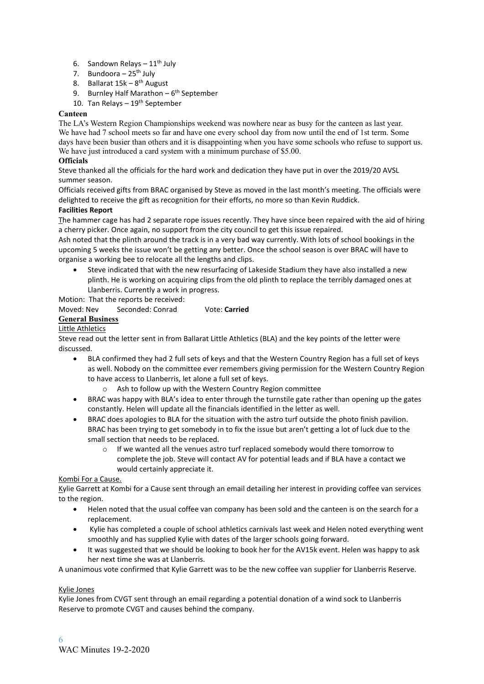- 6. Sandown Relays  $-11^{\text{th}}$  July
- 7. Bundoora  $-25^{th}$  July
- 8. Ballarat 15k 8<sup>th</sup> August
- 9. Burnley Half Marathon 6<sup>th</sup> September
- 10. Tan Relays  $-19<sup>th</sup>$  September

#### **Canteen**

The LA's Western Region Championships weekend was nowhere near as busy for the canteen as last year. We have had 7 school meets so far and have one every school day from now until the end of 1st term. Some days have been busier than others and it is disappointing when you have some schools who refuse to support us. We have just introduced a card system with a minimum purchase of \$5.00.

#### **Officials**

Steve thanked all the officials for the hard work and dedication they have put in over the 2019/20 AVSL summer season.

Officials received gifts from BRAC organised by Steve as moved in the last month's meeting. The officials were delighted to receive the gift as recognition for their efforts, no more so than Kevin Ruddick.

#### **Facilities Report**

The hammer cage has had 2 separate rope issues recently. They have since been repaired with the aid of hiring a cherry picker. Once again, no support from the city council to get this issue repaired.

Ash noted that the plinth around the track is in a very bad way currently. With lots of school bookings in the upcoming 5 weeks the issue won't be getting any better. Once the school season is over BRAC will have to organise a working bee to relocate all the lengths and clips.

• Steve indicated that with the new resurfacing of Lakeside Stadium they have also installed a new plinth. He is working on acquiring clips from the old plinth to replace the terribly damaged ones at Llanberris. Currently a work in progress.

Motion: That the reports be received:

#### Moved: Nev Seconded: Conrad Vote: **Carried**

### **General Business**

#### Little Athletics

Steve read out the letter sent in from Ballarat Little Athletics (BLA) and the key points of the letter were discussed.

- BLA confirmed they had 2 full sets of keys and that the Western Country Region has a full set of keys as well. Nobody on the committee ever remembers giving permission for the Western Country Region to have access to Llanberris, let alone a full set of keys.
	- o Ash to follow up with the Western Country Region committee
- BRAC was happy with BLA's idea to enter through the turnstile gate rather than opening up the gates constantly. Helen will update all the financials identified in the letter as well.
- BRAC does apologies to BLA for the situation with the astro turf outside the photo finish pavilion. BRAC has been trying to get somebody in to fix the issue but aren't getting a lot of luck due to the small section that needs to be replaced.
	- $\circ$  If we wanted all the venues astro turf replaced somebody would there tomorrow to complete the job. Steve will contact AV for potential leads and if BLA have a contact we would certainly appreciate it.

#### Kombi For a Cause.

Kylie Garrett at Kombi for a Cause sent through an email detailing her interest in providing coffee van services to the region.

- Helen noted that the usual coffee van company has been sold and the canteen is on the search for a replacement.
- Kylie has completed a couple of school athletics carnivals last week and Helen noted everything went smoothly and has supplied Kylie with dates of the larger schools going forward.
- It was suggested that we should be looking to book her for the AV15k event. Helen was happy to ask her next time she was at Llanberris.

A unanimous vote confirmed that Kylie Garrett was to be the new coffee van supplier for Llanberris Reserve.

#### Kylie Jones

Kylie Jones from CVGT sent through an email regarding a potential donation of a wind sock to Llanberris Reserve to promote CVGT and causes behind the company.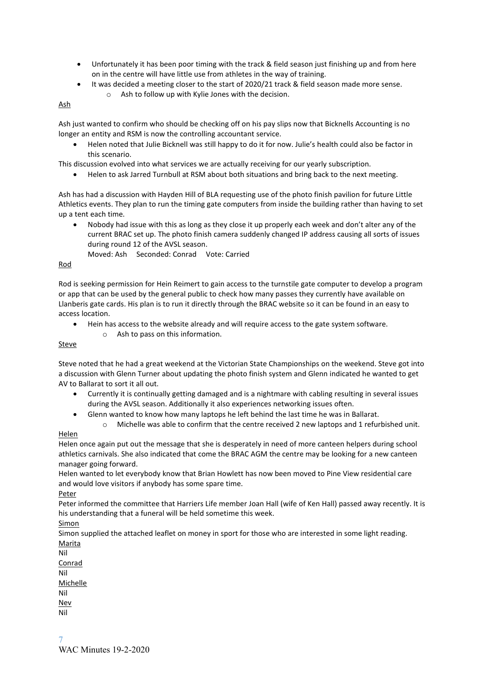- Unfortunately it has been poor timing with the track & field season just finishing up and from here on in the centre will have little use from athletes in the way of training.
	- It was decided a meeting closer to the start of 2020/21 track & field season made more sense. o Ash to follow up with Kylie Jones with the decision.

#### Ash

Ash just wanted to confirm who should be checking off on his pay slips now that Bicknells Accounting is no longer an entity and RSM is now the controlling accountant service.

• Helen noted that Julie Bicknell was still happy to do it for now. Julie's health could also be factor in this scenario.

This discussion evolved into what services we are actually receiving for our yearly subscription.

• Helen to ask Jarred Turnbull at RSM about both situations and bring back to the next meeting.

Ash has had a discussion with Hayden Hill of BLA requesting use of the photo finish pavilion for future Little Athletics events. They plan to run the timing gate computers from inside the building rather than having to set up a tent each time.

- Nobody had issue with this as long as they close it up properly each week and don't alter any of the current BRAC set up. The photo finish camera suddenly changed IP address causing all sorts of issues during round 12 of the AVSL season.
	- Moved: Ash Seconded: Conrad Vote: Carried

#### Rod

Rod is seeking permission for Hein Reimert to gain access to the turnstile gate computer to develop a program or app that can be used by the general public to check how many passes they currently have available on Llanberis gate cards. His plan is to run it directly through the BRAC website so it can be found in an easy to access location.

- Hein has access to the website already and will require access to the gate system software.
	- o Ash to pass on this information.

#### Steve

Steve noted that he had a great weekend at the Victorian State Championships on the weekend. Steve got into a discussion with Glenn Turner about updating the photo finish system and Glenn indicated he wanted to get AV to Ballarat to sort it all out.

- Currently it is continually getting damaged and is a nightmare with cabling resulting in several issues during the AVSL season. Additionally it also experiences networking issues often.
- Glenn wanted to know how many laptops he left behind the last time he was in Ballarat.
- o Michelle was able to confirm that the centre received 2 new laptops and 1 refurbished unit. Helen

Helen once again put out the message that she is desperately in need of more canteen helpers during school athletics carnivals. She also indicated that come the BRAC AGM the centre may be looking for a new canteen manager going forward.

Helen wanted to let everybody know that Brian Howlett has now been moved to Pine View residential care and would love visitors if anybody has some spare time.

Peter

Peter informed the committee that Harriers Life member Joan Hall (wife of Ken Hall) passed away recently. It is his understanding that a funeral will be held sometime this week.

Simon

Simon supplied the attached leaflet on money in sport for those who are interested in some light reading. **Marita** 

Nil

- Conrad Nil Michelle Nil Nev
- 7

Nil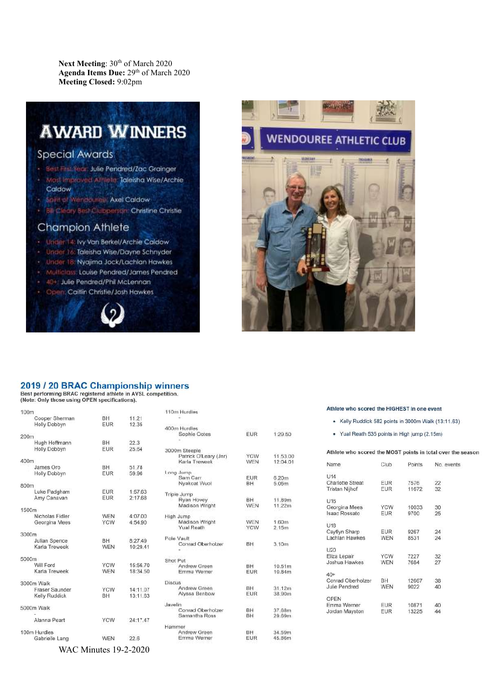Next Meeting: 30<sup>th</sup> of March 2020 Agenda Items Due: 29<sup>th</sup> of March 2020 **Meeting Closed:** 9:02pm

# **AWARD WINNERS**

## **Special Awards**

- Best First Year, Julie Pendred/Zac Grainger
- Most Improved Amlete, Idleisha Wise/Archie Caldow
- Spirit of Wenddures Axel Caldow
- Bill Cleary Best Clubperson: Christine Christie

### **Champion Athlete**

- Under 14: Ivy Van Berkel/Archie Caldow
- Under 16 Taleisha Wise/Dayne Schnyder
- Under 18. Nyajima Jock/Lachlan Hawkes
- Multiclass: Louise Pendred/James Pendred
- 40+ Julie Pendred/Phil McLennan
- Open: Caitlin Christie/Josh Hawkes





#### 2019 / 20 BRAC Championship winners

Best performing BRAC registered athlete in AVSL competition.<br>(Note: Only those using OPEN specifications).

| 100m                             |                          |                      |
|----------------------------------|--------------------------|----------------------|
| Cooper Sherman<br>Holly Dobbyn   | BH.<br><b>FUR</b>        | 11.21<br>12.35       |
| 200m                             |                          |                      |
| Hugh Hoffmann<br>Holly Dobbyn    | BH.<br><b>EUR</b>        | 22.3<br>25.64        |
| 400m                             |                          |                      |
| James Oro<br>Holly Dobbyn        | BH.<br><b>EUR</b>        | 51.78<br>59.96       |
| 800m                             |                          |                      |
| Luke Padgham<br>Amy Canavan      | EUR<br><b>EUR</b>        | 1:57.63<br>2:17.68   |
| 1500m                            |                          |                      |
| Nicholas Fidler<br>Georgina Mees | <b>WEN</b><br><b>YCW</b> | 4:07.00<br>4:54.90   |
| 3000m                            |                          |                      |
| Julian Spence<br>Karla Treweek   | BH.<br><b>WEN</b>        | 8:27.49<br>10:29.41  |
| 5000m                            |                          |                      |
| Will Ford<br>Karla Treweek       | <b>YCW</b><br><b>WEN</b> | 15:56.70<br>18:34.50 |
| 3000m Walk                       |                          |                      |
| Fraser Saunder<br>Kelly Ruddick  | <b>YCW</b><br>BH         | 14:11.07<br>13:11.63 |
| 5000m Walk                       |                          |                      |
|                                  |                          |                      |
| Alanna Peart                     | <b>YCW</b>               | 24:17.47             |
| 100m Hurdles                     |                          |                      |
| Gabrielle Lang                   | <b>WEN</b>               | 22.6                 |

WAC Minutes 19-2-2020

| 110m Hurdles          |            |          |
|-----------------------|------------|----------|
|                       |            |          |
| 400m Hurdles          |            |          |
| Sophie Ootes          | EUR        | 1:29.50  |
|                       |            |          |
| 3000m Steeple         |            |          |
| Patrick O'Leary (Jnr) | YCW        | 11.53.00 |
| Karla Treweek         | <b>WEN</b> | 12:04.01 |
| Long Jump             |            |          |
| Sam Carr              | EUR        | 6.20m    |
| Nyakoat Wuol          | BH         | 5.05m    |
| Triple Jump           |            |          |
| Ryan Hovey            | <b>BH</b>  | 11.89m   |
| Madison Wright        | <b>WEN</b> | 11.22m   |
| High Jump             |            |          |
| Madison Wright        | WEN        | 1.60m    |
| <b>Yual Reath</b>     | <b>YCW</b> | 2.15m    |
| Pole Vault            |            |          |
| Conrad Oberholzer     | BH         | 3.10m    |
| Shot Put              |            |          |
| Andrew Green          | BH         | 10.51m   |
| Emma Werner           | EUR        | 10.84m   |
| Discus                |            |          |
| Andrew Green          | BH         | 31.12m   |
| Alyssa Benbow         | EUR        | 38.90m   |
| Javelin               |            |          |
| Conrad Oberholzer     | BH         | 37.68m   |
| Samantha Ross         | BH         | 29.69m   |
| Hammer                |            |          |
| Andrew Green          | BH.        | 34.59m   |
| Emma Werner           | EUR        | 45.86m   |

#### Athlete who scored the HIGHEST in one event

- Kelly Ruddick 582 points in 3000m Walk (13:11.63)
- . Yual Reath 535 points in High jump (2.15m)

#### Athlete who scored the MOST points in total over the season

| Name                 | Club       | Points | No. events |
|----------------------|------------|--------|------------|
| U <sub>14</sub>      |            |        |            |
| Charlotte Streat     | <b>EUR</b> | 7576   | 22         |
| Tristan Nijhof       | EUR.       | 11672  | 32         |
| U <sub>16</sub>      |            |        |            |
| Georgina Mees        | <b>YCW</b> | 10033  | 30         |
| <b>Isaac Rossato</b> | EUR.       | 9700   | 25         |
| U <sub>18</sub>      |            |        |            |
| Caytlyn Sharp        | EUR:       | 9267   | 24         |
| Lachlan Hawkes       | <b>WEN</b> | 8531   | 24         |
| U20                  |            |        |            |
| Eliza Lepair         | <b>YCW</b> | 7227   | 32         |
| Joshua Hawkes        | <b>WEN</b> | 7684   | 27         |
| $40+$                |            |        |            |
| Conrad Oberholzer    | BH         | 12667  | 38         |
| Julie Pendred        | WEN        | 9022   | 40         |
| OPEN                 |            |        |            |
| Emma Werner          | <b>EUR</b> | 10871  | 40         |
| Jordan Mayston       | EUR        | 13225  | 44         |